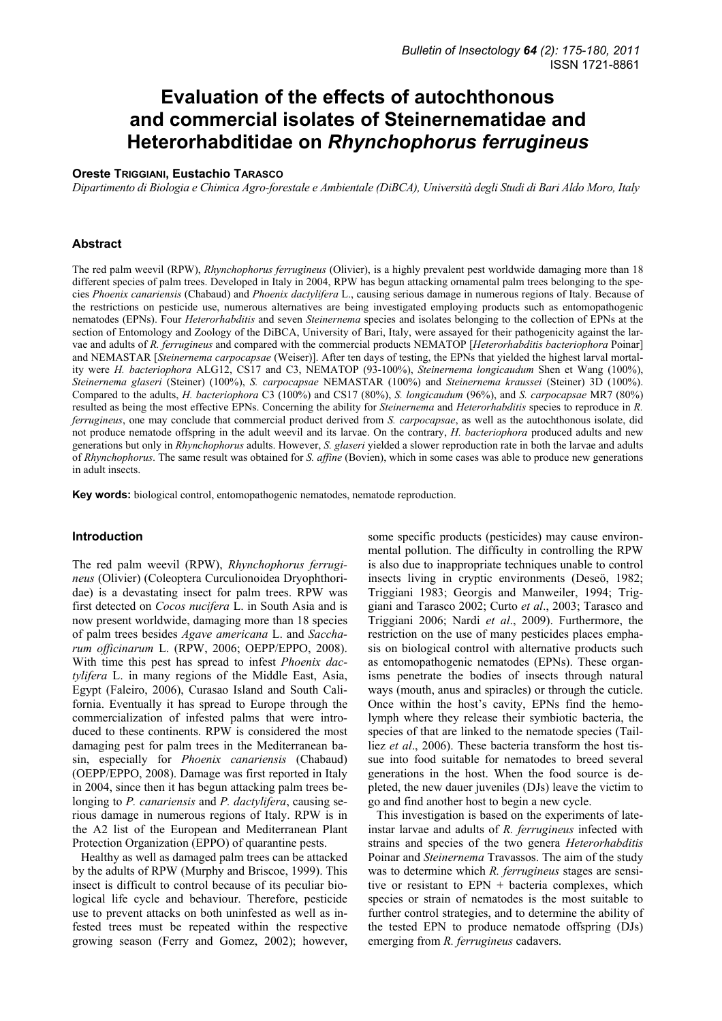# **Evaluation of the effects of autochthonous and commercial isolates of Steinernematidae and Heterorhabditidae on** *Rhynchophorus ferrugineus*

## **Oreste TRIGGIANI, Eustachio TARASCO**

*Dipartimento di Biologia e Chimica Agro-forestale e Ambientale (DiBCA), Università degli Studi di Bari Aldo Moro, Italy* 

#### **Abstract**

The red palm weevil (RPW), *Rhynchophorus ferrugineus* (Olivier), is a highly prevalent pest worldwide damaging more than 18 different species of palm trees. Developed in Italy in 2004, RPW has begun attacking ornamental palm trees belonging to the species *Phoenix canariensis* (Chabaud) and *Phoenix dactylifera* L., causing serious damage in numerous regions of Italy. Because of the restrictions on pesticide use, numerous alternatives are being investigated employing products such as entomopathogenic nematodes (EPNs). Four *Heterorhabditis* and seven *Steinernema* species and isolates belonging to the collection of EPNs at the section of Entomology and Zoology of the DiBCA, University of Bari, Italy, were assayed for their pathogenicity against the larvae and adults of *R. ferrugineus* and compared with the commercial products NEMATOP [*Heterorhabditis bacteriophora* Poinar] and NEMASTAR [*Steinernema carpocapsae* (Weiser)]. After ten days of testing, the EPNs that yielded the highest larval mortality were *H. bacteriophora* ALG12, CS17 and C3, NEMATOP (93-100%), *Steinernema longicaudum* Shen et Wang (100%), *Steinernema glaseri* (Steiner) (100%), *S. carpocapsae* NEMASTAR (100%) and *Steinernema kraussei* (Steiner) 3D (100%). Compared to the adults, *H. bacteriophora* C3 (100%) and CS17 (80%), *S. longicaudum* (96%), and *S. carpocapsae* MR7 (80%) resulted as being the most effective EPNs. Concerning the ability for *Steinernema* and *Heterorhabditis* species to reproduce in *R. ferrugineus*, one may conclude that commercial product derived from *S. carpocapsae*, as well as the autochthonous isolate, did not produce nematode offspring in the adult weevil and its larvae. On the contrary, *H. bacteriophora* produced adults and new generations but only in *Rhynchophorus* adults. However, *S. glaseri* yielded a slower reproduction rate in both the larvae and adults of *Rhynchophorus*. The same result was obtained for *S. affine* (Bovien), which in some cases was able to produce new generations in adult insects.

**Key words:** biological control, entomopathogenic nematodes, nematode reproduction.

## **Introduction**

The red palm weevil (RPW), *Rhynchophorus ferrugineus* (Olivier) (Coleoptera Curculionoidea Dryophthoridae) is a devastating insect for palm trees. RPW was first detected on *Cocos nucifera* L. in South Asia and is now present worldwide, damaging more than 18 species of palm trees besides *Agave americana* L. and *Saccharum officinarum* L. (RPW, 2006; OEPP/EPPO, 2008). With time this pest has spread to infest *Phoenix dactylifera* L. in many regions of the Middle East, Asia, Egypt (Faleiro, 2006), Curasao Island and South California. Eventually it has spread to Europe through the commercialization of infested palms that were introduced to these continents. RPW is considered the most damaging pest for palm trees in the Mediterranean basin, especially for *Phoenix canariensis* (Chabaud) (OEPP/EPPO, 2008). Damage was first reported in Italy in 2004, since then it has begun attacking palm trees belonging to *P. canariensis* and *P. dactylifera*, causing serious damage in numerous regions of Italy. RPW is in the A2 list of the European and Mediterranean Plant Protection Organization (EPPO) of quarantine pests.

Healthy as well as damaged palm trees can be attacked by the adults of RPW (Murphy and Briscoe, 1999). This insect is difficult to control because of its peculiar biological life cycle and behaviour. Therefore, pesticide use to prevent attacks on both uninfested as well as infested trees must be repeated within the respective growing season (Ferry and Gomez, 2002); however,

some specific products (pesticides) may cause environmental pollution. The difficulty in controlling the RPW is also due to inappropriate techniques unable to control insects living in cryptic environments (Deseö, 1982; Triggiani 1983; Georgis and Manweiler, 1994; Triggiani and Tarasco 2002; Curto *et al*., 2003; Tarasco and Triggiani 2006; Nardi *et al*., 2009). Furthermore, the restriction on the use of many pesticides places emphasis on biological control with alternative products such as entomopathogenic nematodes (EPNs). These organisms penetrate the bodies of insects through natural ways (mouth, anus and spiracles) or through the cuticle. Once within the host's cavity, EPNs find the hemolymph where they release their symbiotic bacteria, the species of that are linked to the nematode species (Tailliez *et al*., 2006). These bacteria transform the host tissue into food suitable for nematodes to breed several generations in the host. When the food source is depleted, the new dauer juveniles (DJs) leave the victim to go and find another host to begin a new cycle.

This investigation is based on the experiments of lateinstar larvae and adults of *R. ferrugineus* infected with strains and species of the two genera *Heterorhabditis* Poinar and *Steinernema* Travassos. The aim of the study was to determine which *R. ferrugineus* stages are sensitive or resistant to EPN + bacteria complexes, which species or strain of nematodes is the most suitable to further control strategies, and to determine the ability of the tested EPN to produce nematode offspring (DJs) emerging from *R. ferrugineus* cadavers.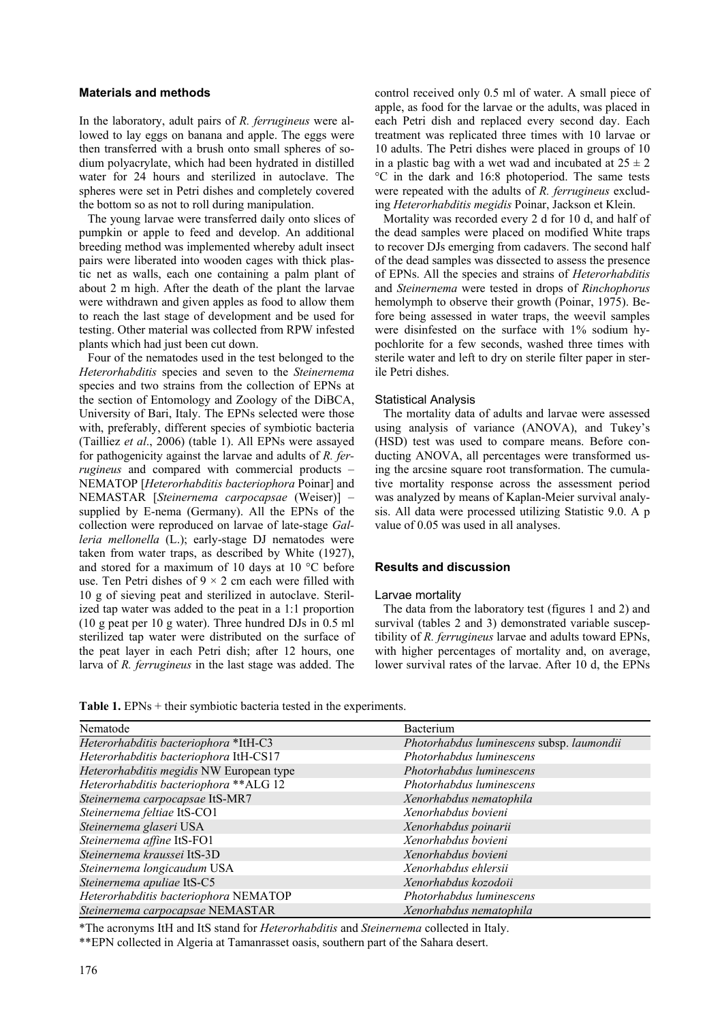## **Materials and methods**

In the laboratory, adult pairs of *R. ferrugineus* were allowed to lay eggs on banana and apple. The eggs were then transferred with a brush onto small spheres of sodium polyacrylate, which had been hydrated in distilled water for 24 hours and sterilized in autoclave. The spheres were set in Petri dishes and completely covered the bottom so as not to roll during manipulation.

The young larvae were transferred daily onto slices of pumpkin or apple to feed and develop. An additional breeding method was implemented whereby adult insect pairs were liberated into wooden cages with thick plastic net as walls, each one containing a palm plant of about 2 m high. After the death of the plant the larvae were withdrawn and given apples as food to allow them to reach the last stage of development and be used for testing. Other material was collected from RPW infested plants which had just been cut down.

Four of the nematodes used in the test belonged to the *Heterorhabditis* species and seven to the *Steinernema* species and two strains from the collection of EPNs at the section of Entomology and Zoology of the DiBCA, University of Bari, Italy. The EPNs selected were those with, preferably, different species of symbiotic bacteria (Tailliez *et al*., 2006) (table 1). All EPNs were assayed for pathogenicity against the larvae and adults of *R. ferrugineus* and compared with commercial products – NEMATOP [*Heterorhabditis bacteriophora* Poinar] and NEMASTAR [*Steinernema carpocapsae* (Weiser)] – supplied by E-nema (Germany). All the EPNs of the collection were reproduced on larvae of late-stage *Galleria mellonella* (L.); early-stage DJ nematodes were taken from water traps, as described by White (1927), and stored for a maximum of 10 days at 10 °C before use. Ten Petri dishes of  $9 \times 2$  cm each were filled with 10 g of sieving peat and sterilized in autoclave. Sterilized tap water was added to the peat in a 1:1 proportion (10 g peat per 10 g water). Three hundred DJs in 0.5 ml sterilized tap water were distributed on the surface of the peat layer in each Petri dish; after 12 hours, one larva of *R. ferrugineus* in the last stage was added. The

control received only 0.5 ml of water. A small piece of apple, as food for the larvae or the adults, was placed in each Petri dish and replaced every second day. Each treatment was replicated three times with 10 larvae or 10 adults. The Petri dishes were placed in groups of 10 in a plastic bag with a wet wad and incubated at  $25 \pm 2$ °C in the dark and 16:8 photoperiod. The same tests were repeated with the adults of *R. ferrugineus* excluding *Heterorhabditis megidis* Poinar, Jackson et Klein.

Mortality was recorded every 2 d for 10 d, and half of the dead samples were placed on modified White traps to recover DJs emerging from cadavers. The second half of the dead samples was dissected to assess the presence of EPNs. All the species and strains of *Heterorhabditis* and *Steinernema* were tested in drops of *Rinchophorus*  hemolymph to observe their growth (Poinar, 1975). Before being assessed in water traps, the weevil samples were disinfested on the surface with 1% sodium hypochlorite for a few seconds, washed three times with sterile water and left to dry on sterile filter paper in sterile Petri dishes.

## Statistical Analysis

The mortality data of adults and larvae were assessed using analysis of variance (ANOVA), and Tukey's (HSD) test was used to compare means. Before conducting ANOVA, all percentages were transformed using the arcsine square root transformation. The cumulative mortality response across the assessment period was analyzed by means of Kaplan-Meier survival analysis. All data were processed utilizing Statistic 9.0. A p value of 0.05 was used in all analyses.

## **Results and discussion**

#### Larvae mortality

The data from the laboratory test (figures 1 and 2) and survival (tables 2 and 3) demonstrated variable susceptibility of *R. ferrugineus* larvae and adults toward EPNs, with higher percentages of mortality and, on average, lower survival rates of the larvae. After 10 d, the EPNs

Table 1. EPNs + their symbiotic bacteria tested in the experiments.

| Nematode                                 | Bacterium                                 |
|------------------------------------------|-------------------------------------------|
| Heterorhabditis bacteriophora *ItH-C3    | Photorhabdus luminescens subsp. laumondii |
| Heterorhabditis bacteriophora ItH-CS17   | Photorhabdus luminescens                  |
| Heterorhabditis megidis NW European type | Photorhabdus luminescens                  |
| Heterorhabditis bacteriophora ** ALG 12  | Photorhabdus luminescens                  |
| Steinernema carpocapsae ItS-MR7          | Xenorhabdus nematophila                   |
| Steinernema feltiae ItS-CO1              | Xenorhabdus bovieni                       |
| Steinernema glaseri USA                  | Xenorhabdus poinarii                      |
| Steinernema affine ItS-FO1               | Xenorhabdus bovieni                       |
| Steinernema kraussei ItS-3D              | Xenorhabdus bovieni                       |
| Steinernema longicaudum USA              | Xenorhabdus ehlersii                      |
| Steinernema apuliae ItS-C5               | Xenorhabdus kozodoii                      |
| Heterorhabditis bacteriophora NEMATOP    | Photorhabdus luminescens                  |
| Steinernema carpocapsae NEMASTAR         | Xenorhabdus nematophila                   |

\*The acronyms ItH and ItS stand for *Heterorhabditis* and *Steinernema* collected in Italy.

\*\*EPN collected in Algeria at Tamanrasset oasis, southern part of the Sahara desert.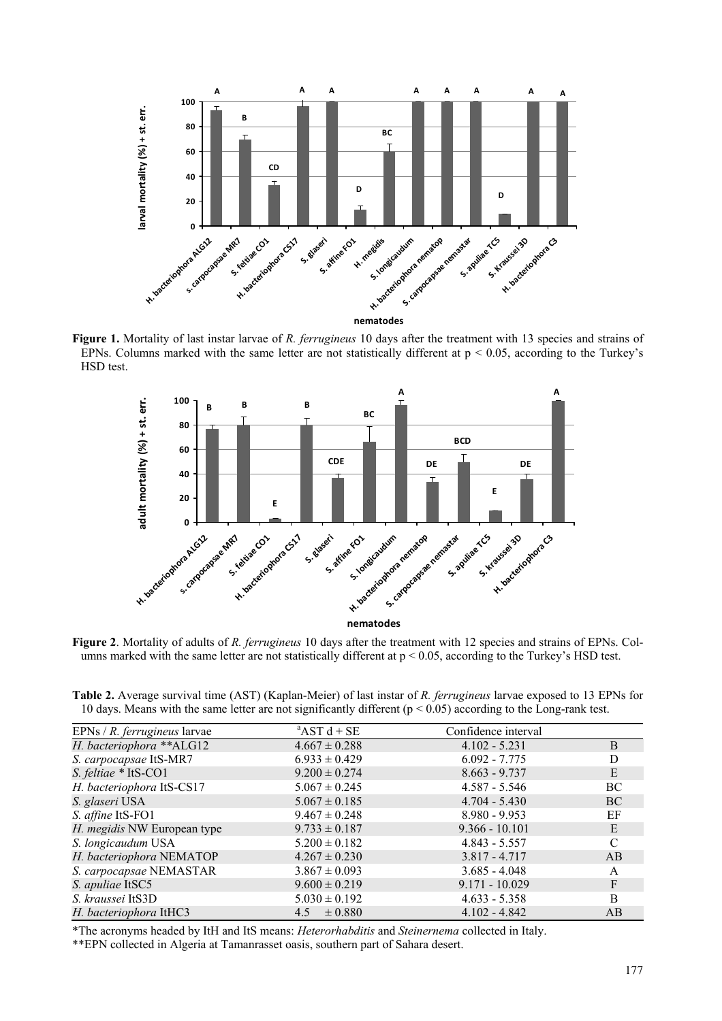

**Figure 1.** Mortality of last instar larvae of *R. ferrugineus* 10 days after the treatment with 13 species and strains of EPNs. Columns marked with the same letter are not statistically different at  $p < 0.05$ , according to the Turkey's HSD test.



**Figure 2**. Mortality of adults of *R. ferrugineus* 10 days after the treatment with 12 species and strains of EPNs. Columns marked with the same letter are not statistically different at  $p < 0.05$ , according to the Turkey's HSD test.

**Table 2.** Average survival time (AST) (Kaplan-Meier) of last instar of *R. ferrugineus* larvae exposed to 13 EPNs for 10 days. Means with the same letter are not significantly different ( $p < 0.05$ ) according to the Long-rank test.

| EPNs / $R$ . <i>ferrugineus</i> larvae | $^{\circ}$ AST d + SE | Confidence interval |     |
|----------------------------------------|-----------------------|---------------------|-----|
| H. bacteriophora ** ALG12              | $4.667 \pm 0.288$     | $4.102 - 5.231$     | B   |
| S. carpocapsae ItS-MR7                 | $6.933 \pm 0.429$     | $6.092 - 7.775$     |     |
| S. feltiae * ItS-CO1                   | $9.200 \pm 0.274$     | $8.663 - 9.737$     | E   |
| H. bacteriophora ItS-CS17              | $5.067 \pm 0.245$     | $4.587 - 5.546$     | BC  |
| S. glaseri USA                         | $5.067 \pm 0.185$     | $4.704 - 5.430$     | BC. |
| S. affine ItS-FO1                      | $9.467 \pm 0.248$     | $8.980 - 9.953$     | ΕF  |
| H. megidis NW European type            | $9.733 \pm 0.187$     | $9.366 - 10.101$    | E   |
| S. longicaudum USA                     | $5.200 \pm 0.182$     | $4.843 - 5.557$     |     |
| H. bacteriophora NEMATOP               | $4.267 \pm 0.230$     | $3.817 - 4.717$     | AB  |
| S. carpocapsae NEMASTAR                | $3.867 \pm 0.093$     | $3.685 - 4.048$     | A   |
| S. apuliae ItSC5                       | $9.600 \pm 0.219$     | $9.171 - 10.029$    | F   |
| S. kraussei ItS3D                      | $5.030 \pm 0.192$     | $4.633 - 5.358$     | B   |
| H. bacteriophora ItHC3                 | $4.5 \pm 0.880$       | $4.102 - 4.842$     | AB  |

\*The acronyms headed by ItH and ItS means: *Heterorhabditis* and *Steinernema* collected in Italy.

\*\*EPN collected in Algeria at Tamanrasset oasis, southern part of Sahara desert.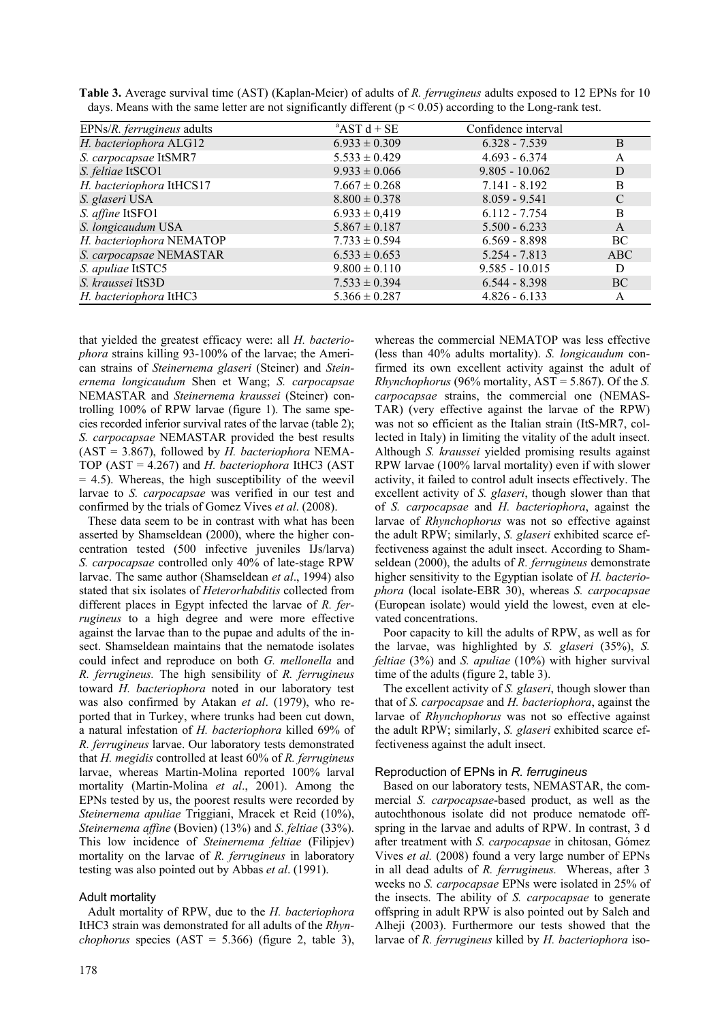| Table 3. Average survival time (AST) (Kaplan-Meier) of adults of R. ferrugineus adults exposed to 12 EPNs for 10 |  |  |
|------------------------------------------------------------------------------------------------------------------|--|--|
| days. Means with the same letter are not significantly different ( $p < 0.05$ ) according to the Long-rank test. |  |  |

| EPNs/R. ferrugineus adults | $AST d + SE$      | Confidence interval |               |
|----------------------------|-------------------|---------------------|---------------|
| H. bacteriophora ALG12     | $6.933 \pm 0.309$ | $6.328 - 7.539$     | B             |
| S. carpocapsae ItSMR7      | $5.533 \pm 0.429$ | $4.693 - 6.374$     | A             |
| S. feltiae ItSCO1          | $9.933 \pm 0.066$ | $9.805 - 10.062$    | D             |
| H. bacteriophora ItHCS17   | $7.667 \pm 0.268$ | $7.141 - 8.192$     | B             |
| S. glaseri USA             | $8.800 \pm 0.378$ | $8.059 - 9.541$     | $\mathcal{C}$ |
| S. affine ItSFO1           | $6.933 \pm 0.419$ | $6.112 - 7.754$     | B             |
| S. longicaudum USA         | $5.867 \pm 0.187$ | $5.500 - 6.233$     | $\mathsf{A}$  |
| H. bacteriophora NEMATOP   | $7.733 \pm 0.594$ | $6.569 - 8.898$     | BC            |
| S. carpocapsae NEMASTAR    | $6.533 \pm 0.653$ | $5.254 - 7.813$     | ABC           |
| S. apuliae ItSTC5          | $9.800 \pm 0.110$ | $9.585 - 10.015$    | D             |
| S. kraussei ItS3D          | $7.533 \pm 0.394$ | $6.544 - 8.398$     | <b>BC</b>     |
| H. bacteriophora ItHC3     | $5.366 \pm 0.287$ | $4.826 - 6.133$     | A             |

that yielded the greatest efficacy were: all *H. bacteriophora* strains killing 93-100% of the larvae; the American strains of *Steinernema glaseri* (Steiner) and *Steinernema longicaudum* Shen et Wang; *S. carpocapsae* NEMASTAR and *Steinernema kraussei* (Steiner) controlling 100% of RPW larvae (figure 1). The same species recorded inferior survival rates of the larvae (table 2); *S. carpocapsae* NEMASTAR provided the best results (AST = 3.867), followed by *H. bacteriophora* NEMA-TOP (AST = 4.267) and *H. bacteriophora* ItHC3 (AST  $= 4.5$ ). Whereas, the high susceptibility of the weevil larvae to *S. carpocapsae* was verified in our test and confirmed by the trials of Gomez Vives *et al*. (2008).

These data seem to be in contrast with what has been asserted by Shamseldean (2000), where the higher concentration tested (500 infective juveniles IJs/larva) *S. carpocapsae* controlled only 40% of late-stage RPW larvae. The same author (Shamseldean *et al*., 1994) also stated that six isolates of *Heterorhabditis* collected from different places in Egypt infected the larvae of *R. ferrugineus* to a high degree and were more effective against the larvae than to the pupae and adults of the insect. Shamseldean maintains that the nematode isolates could infect and reproduce on both *G. mellonella* and *R. ferrugineus.* The high sensibility of *R. ferrugineus* toward *H. bacteriophora* noted in our laboratory test was also confirmed by Atakan *et al*. (1979), who reported that in Turkey, where trunks had been cut down, a natural infestation of *H. bacteriophora* killed 69% of *R. ferrugineus* larvae. Our laboratory tests demonstrated that *H. megidis* controlled at least 60% of *R. ferrugineus* larvae, whereas Martin-Molina reported 100% larval mortality (Martin-Molina *et al*., 2001). Among the EPNs tested by us, the poorest results were recorded by *Steinernema apuliae* Triggiani, Mracek et Reid (10%), *Steinernema affine* (Bovien) (13%) and *S*. *feltiae* (33%). This low incidence of *Steinernema feltiae* (Filipjev) mortality on the larvae of *R. ferrugineus* in laboratory testing was also pointed out by Abbas *et al*. (1991).

## Adult mortality

Adult mortality of RPW, due to the *H. bacteriophora* ItHC3 strain was demonstrated for all adults of the *Rhynchophorus* species  $(AST = 5.366)$  (figure 2, table 3), whereas the commercial NEMATOP was less effective (less than 40% adults mortality). *S. longicaudum* confirmed its own excellent activity against the adult of *Rhynchophorus* (96% mortality, AST = 5.867). Of the *S. carpocapsae* strains, the commercial one (NEMAS-TAR) (very effective against the larvae of the RPW) was not so efficient as the Italian strain (ItS-MR7, collected in Italy) in limiting the vitality of the adult insect. Although *S. kraussei* yielded promising results against RPW larvae (100% larval mortality) even if with slower activity, it failed to control adult insects effectively. The excellent activity of *S. glaseri*, though slower than that of *S. carpocapsae* and *H. bacteriophora*, against the larvae of *Rhynchophorus* was not so effective against the adult RPW; similarly, *S. glaseri* exhibited scarce effectiveness against the adult insect. According to Shamseldean (2000), the adults of *R. ferrugineus* demonstrate higher sensitivity to the Egyptian isolate of *H. bacteriophora* (local isolate-EBR 30), whereas *S. carpocapsae* (European isolate) would yield the lowest, even at elevated concentrations.

Poor capacity to kill the adults of RPW, as well as for the larvae, was highlighted by *S. glaseri* (35%), *S. feltiae* (3%) and *S. apuliae* (10%) with higher survival time of the adults (figure 2, table 3).

The excellent activity of *S. glaseri*, though slower than that of *S. carpocapsae* and *H. bacteriophora*, against the larvae of *Rhynchophorus* was not so effective against the adult RPW; similarly, *S. glaseri* exhibited scarce effectiveness against the adult insect.

## Reproduction of EPNs in *R. ferrugineus*

Based on our laboratory tests, NEMASTAR, the commercial *S. carpocapsae*-based product, as well as the autochthonous isolate did not produce nematode offspring in the larvae and adults of RPW. In contrast, 3 d after treatment with *S. carpocapsae* in chitosan, Gómez Vives *et al.* (2008) found a very large number of EPNs in all dead adults of *R. ferrugineus.* Whereas, after 3 weeks no *S. carpocapsae* EPNs were isolated in 25% of the insects. The ability of *S. carpocapsae* to generate offspring in adult RPW is also pointed out by Saleh and Alheii (2003). Furthermore our tests showed that the larvae of *R. ferrugineus* killed by *H. bacteriophora* iso-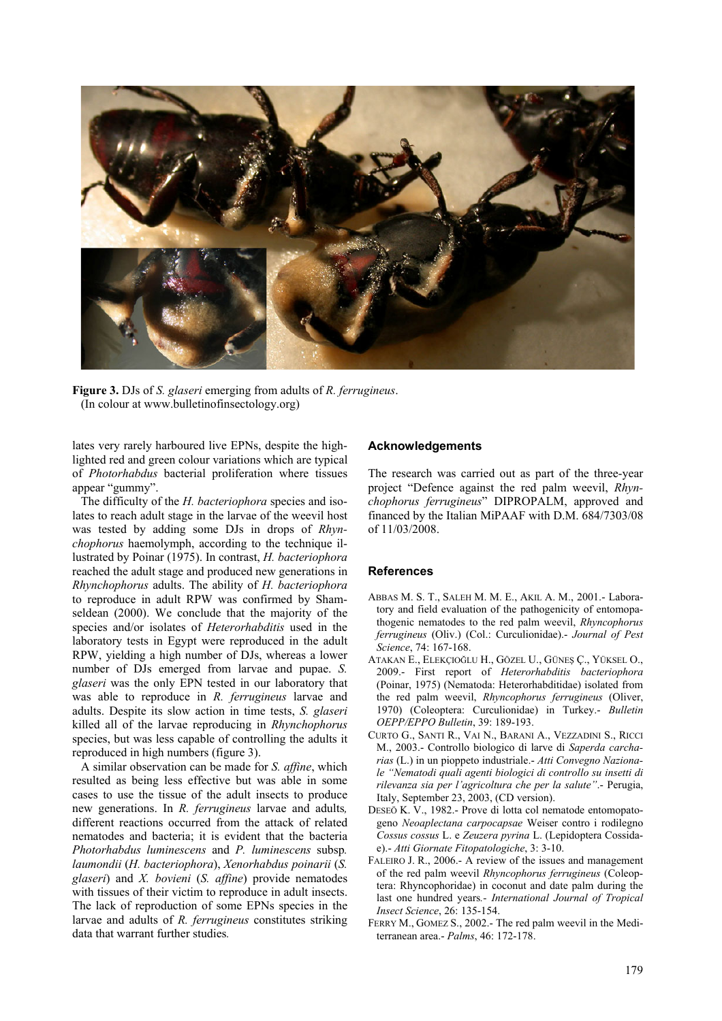

**Figure 3.** DJs of *S. glaseri* emerging from adults of *R. ferrugineus*. (In colour at www.bulletinofinsectology.org)

lates very rarely harboured live EPNs, despite the highlighted red and green colour variations which are typical of *Photorhabdus* bacterial proliferation where tissues appear "gummy".

The difficulty of the *H. bacteriophora* species and isolates to reach adult stage in the larvae of the weevil host was tested by adding some DJs in drops of *Rhynchophorus* haemolymph, according to the technique illustrated by Poinar (1975). In contrast, *H. bacteriophora* reached the adult stage and produced new generations in *Rhynchophorus* adults. The ability of *H. bacteriophora* to reproduce in adult RPW was confirmed by Shamseldean (2000). We conclude that the majority of the species and/or isolates of *Heterorhabditis* used in the laboratory tests in Egypt were reproduced in the adult RPW, yielding a high number of DJs, whereas a lower number of DJs emerged from larvae and pupae. *S. glaseri* was the only EPN tested in our laboratory that was able to reproduce in *R. ferrugineus* larvae and adults. Despite its slow action in time tests, *S. glaseri* killed all of the larvae reproducing in *Rhynchophorus*  species, but was less capable of controlling the adults it reproduced in high numbers (figure 3).

A similar observation can be made for *S. affine*, which resulted as being less effective but was able in some cases to use the tissue of the adult insects to produce new generations. In *R. ferrugineus* larvae and adults*,*  different reactions occurred from the attack of related nematodes and bacteria; it is evident that the bacteria *Photorhabdus luminescens* and *P. luminescens* subsp*. laumondii* (*H. bacteriophora*), *Xenorhabdus poinarii* (*S. glaseri*) and *X. bovieni* (*S. affine*) provide nematodes with tissues of their victim to reproduce in adult insects. The lack of reproduction of some EPNs species in the larvae and adults of *R. ferrugineus* constitutes striking data that warrant further studies*.*

## **Acknowledgements**

The research was carried out as part of the three-year project "Defence against the red palm weevil, *Rhynchophorus ferrugineus*" DIPROPALM, approved and financed by the Italian MiPAAF with D.M. 684/7303/08 of 11/03/2008.

## **References**

- ABBAS M. S. T., SALEH M. M. E., AKIL A. M., 2001.- Laboratory and field evaluation of the pathogenicity of entomopathogenic nematodes to the red palm weevil, *Rhyncophorus ferrugineus* (Oliv.) (Col.: Curculionidae).- *Journal of Pest Science*, 74: 167-168.
- ATAKAN E., ELEKÇIOĞLU H., GÖZEL U., GÜNEŞ Ç., YÜKSEL O., 2009.- First report of *Heterorhabditis bacteriophora* (Poinar, 1975) (Nematoda: Heterorhabditidae) isolated from the red palm weevil, *Rhyncophorus ferrugineus* (Oliver, 1970) (Coleoptera: Curculionidae) in Turkey.- *Bulletin OEPP/EPPO Bulletin*, 39: 189-193.
- CURTO G., SANTI R., VAI N., BARANI A., VEZZADINI S., RICCI M., 2003.- Controllo biologico di larve di *Saperda carcharias* (L.) in un pioppeto industriale.- *Atti Convegno Nazionale "Nematodi quali agenti biologici di controllo su insetti di rilevanza sia per l'agricoltura che per la salute"*.- Perugia, Italy, September 23, 2003, (CD version).
- DESEÖ K. V., 1982.- Prove di lotta col nematode entomopatogeno *Neoaplectana carpocapsae* Weiser contro i rodilegno *Cossus cossus* L. e *Zeuzera pyrina* L. (Lepidoptera Cossidae).- *Atti Giornate Fitopatologiche*, 3: 3-10.
- FALEIRO J. R., 2006.- A review of the issues and management of the red palm weevil *Rhyncophorus ferrugineus* (Coleoptera: Rhyncophoridae) in coconut and date palm during the last one hundred years*.- International Journal of Tropical Insect Science*, 26: 135-154.
- FERRY M., GOMEZ S., 2002.- The red palm weevil in the Mediterranean area.- *Palms*, 46: 172-178.